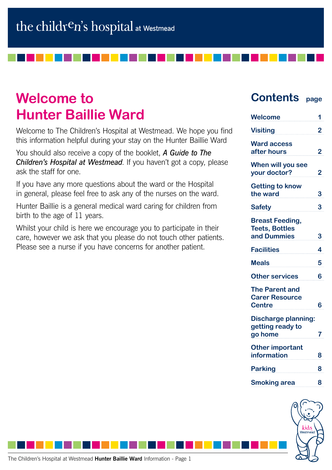# **Welcome to Hunter Baillie Ward**

Welcome to The Children's Hospital at Westmead. We hope you find this information helpful during your stay on the Hunter Baillie Ward

You should also receive a copy of the booklet, *A Guide to The Children's Hospital at Westmead*. If you haven't got a copy, please ask the staff for one.

If you have any more questions about the ward or the Hospital in general, please feel free to ask any of the nurses on the ward.

Hunter Baillie is a general medical ward caring for children from birth to the age of 11 years.

Whilst your child is here we encourage you to participate in their care, however we ask that you please do not touch other patients. Please see a nurse if you have concerns for another patient.

## **Contents page**

| <b>Welcome</b>                                                  | 1              |
|-----------------------------------------------------------------|----------------|
| <b>Visiting</b>                                                 | 2              |
| <b>Ward access</b><br>after hours                               | $\overline{2}$ |
| When will you see<br>your doctor?                               | $\overline{2}$ |
| <b>Getting to know</b><br>the ward                              | 3              |
| <b>Safety</b>                                                   | 3              |
| <b>Breast Feeding,</b><br><b>Teets, Bottles</b><br>and Dummies  | 3              |
| <b>Facilities</b>                                               | 4              |
| <b>Meals</b>                                                    | 5              |
| <b>Other services</b>                                           | 6              |
| <b>The Parent and</b><br><b>Carer Resource</b><br><b>Centre</b> | 6              |
| <b>Discharge planning:</b><br>getting ready to<br>go home       | 7              |
| <b>Other important</b><br><b>information</b>                    | 8              |
| <b>Parking</b>                                                  | 8              |
|                                                                 |                |
| <b>Smoking area</b>                                             | 8              |

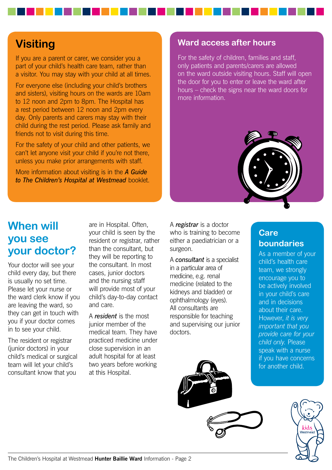## **Visiting**

If you are a parent or carer, we consider you a part of your child's health care team, rather than a visitor. You may stay with your child at all times.

For everyone else (including your child's brothers and sisters), visiting hours on the wards are 10am to 12 noon and 2pm to 8pm. The Hospital has a rest period between 12 noon and 2pm every day. Only parents and carers may stay with their child during the rest period. Please ask family and friends not to visit during this time.

For the safety of your child and other patients, we can't let anyone visit your child if you're not there, unless you make prior arrangements with staff.

More information about visiting is in the *A Guide to The Children's Hospital at Westmead* booklet.

### **Ward access after hours**

For the safety of children, families and staff, only patients and parents/carers are allowed on the ward outside visiting hours. Staff will open the door for you to enter or leave the ward after hours – check the signs near the ward doors for more information.



## **When will you see your doctor?**

Your doctor will see your child every day, but there is usually no set time. Please let your nurse or the ward clerk know if you are leaving the ward, so they can get in touch with you if your doctor comes in to see your child.

The resident or registrar (junior doctors) in your child's medical or surgical team will let your child's consultant know that you

are in Hospital. Often, your child is seen by the resident or registrar, rather than the consultant, but they will be reporting to the consultant. In most cases, junior doctors and the nursing staff will provide most of your child's day-to-day contact and care.

A *resident* is the most junior member of the medical team. They have practiced medicine under close supervision in an adult hospital for at least two years before working at this Hospital.

A *registrar* is a doctor who is training to become either a paediatrician or a surgeon.

A *consultant* is a specialist in a particular area of medicine, e.g. renal medicine (related to the kidneys and bladder) or ophthalmology (eyes). All consultants are responsible for teaching and supervising our junior doctors.

## **Care boundaries**

As a member of your child's health care team, we strongly encourage you to be actively involved in your child's care and in decisions about their care. However, *it is very important that you provide care for your child only*. Please speak with a nurse if you have concerns for another child.





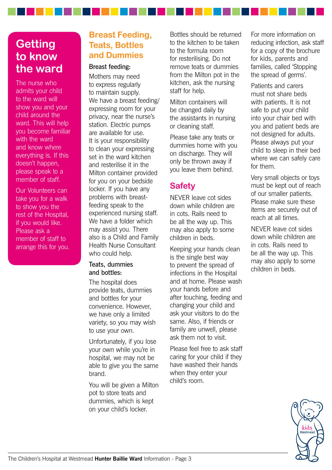## **Getting to know the ward**

The nurse who admits your child to the ward will show you and your child around the ward. This will help you become familiar with the ward and know where everything is. If this doesn't happen, please speak to a member of staff.

Our Volunteers can take you for a walk to show you the rest of the Hospital, if you would like. Please ask a member of staff to arrange this for you.

## **Breast Feeding, Teats, Bottles and Dummies**

#### Breast feeding:

Mothers may need to express regularly to maintain supply. We have a breast feeding/ expressing room for your privacy, near the nurse's station. Electric pumps are available for use. It is your responsibility to clean your expressing set in the ward kitchen and resterilise it in the Milton container provided for you on your bedside locker. If you have any problems with breastfeeding speak to the experienced nursing staff. We have a folder which may assist you. There also is a Child and Family Health Nurse Consultant who could help.

#### Teats, dummies and bottles:

The hospital does provide teats, dummies and bottles for your convenience. However, we have only a limited variety, so you may wish to use your own.

Unfortunately, if you lose your own while you're in hospital, we may not be able to give you the same brand.

You will be given a Milton pot to store teats and dummies, which is kept on your child's locker.

Bottles should be returned to the kitchen to be taken to the formula room for resterilising. Do not remove teats or dummies from the Milton pot in the kitchen, ask the nursing staff for help.

Milton containers will be changed daily by the assistants in nursing or cleaning staff.

Please take any teats or dummies home with you on discharge. They will only be thrown away if you leave them behind.

## **Safety**

NEVER leave cot sides down while children are in cots. Rails need to be all the way up. This may also apply to some children in beds.

Keeping your hands clean is the single best way to prevent the spread of infections in the Hospital and at home. Please wash your hands before and after touching, feeding and changing your child and ask your visitors to do the same. Also, if friends or family are unwell, please ask them not to visit.

Please feel free to ask staff caring for your child if they have washed their hands when they enter your child's room.

For more information on reducing infection, ask staff for a copy of the brochure for kids, parents and families, called 'Stopping the spread of germs'.

Patients and carers must not share beds with patients. It is not safe to put your child into your chair bed with you and patient beds are not designed for adults. Please always put your child to sleep in their bed where we can safely care for them.

Very small objects or toys must be kept out of reach of our smaller patients. Please make sure these items are securely out of reach at all times.

NEVER leave cot sides down while children are in cots. Rails need to be all the way up. This may also apply to some children in beds.

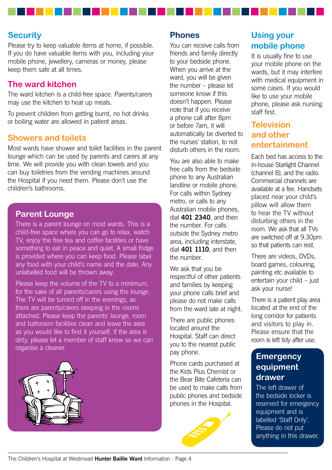### **Security**

Please try to keep valuable items at home, if possible. If you do have valuable items with you, including your mobile phone, jewellery, cameras or money, please keep them safe at all times.

### **The ward kitchen**

The ward kitchen is a child-free space. Parents/carers may use the kitchen to heat up meals.

To prevent children from getting burnt, no hot drinks or boiling water are allowed in patient areas.

#### **Showers and toilets**

Most wards have shower and toilet facilities in the parent lounge which can be used by parents and carers at any time. We will provide you with clean towels and you can buy toiletries from the vending machines around the Hospital if you need them. Please don't use the children's bathrooms.

#### **Parent Lounge**

There is a parent lounge on most wards. This is a child-free space where you can go to relax, watch TV, enjoy the free tea and coffee facilities or have something to eat in peace and quiet. A small fridge is provided where you can keep food. Please label any food with your child's name and the date. Any unlabelled food will be thrown away.

Please keep the volume of the TV to a minimum, for the sake of all parents/carers using the lounge. The TV will be turned off in the evenings, as there are parents/carers sleeping in the rooms attached. Please keep the parents' lounge, room and bathroom facilities clean and leave the area as you would like to find it yourself. If the area is dirty, please let a member of staff know so we can organise a cleaner.



#### **Phones**

You can receive calls from friends and family directly to your bedside phone. When you arrive at the ward, you will be given the number – please let someone know if this doesn't happen. Please note that if you receive a phone call after 8pm or before 7am, it will automatically be diverted to the nurses' station, to not disturb others in the room.

You are also able to make free calls from the bedside phone to any Australian landline or mobile phone. For calls within Sydney metro, or calls to any Australian mobile phones, dial **401 2340**, and then the number. For calls outside the Sydney metro area, including interstate, dial **401 1110**, and then the number.

We ask that you be respectful of other patients and families by keeping your phone calls brief and please do not make calls from the ward late at night.

There are public phones located around the Hospital. Staff can direct you to the nearest public pay phone.

Phone cards purchased at the Kids Plus Chemist or the Bear Bite Cafeteria can be used to make calls from public phones and bedside phones in the Hospital.



## **Using your mobile phone**

It is usually fine to use your mobile phone on the wards, but it may interfere with medical equipment in some cases. If you would like to use your mobile phone, please ask nursing staff first.

## **Television and other entertainment**

Each bed has access to the in-house Starlight Channel (channel 8), and the radio. Commercial channels are available at a fee. Handsets placed near your child's pillow will allow them to hear the TV without disturbing others in the room. We ask that all TVs are switched off at 9.30pm so that patients can rest.

There are videos, DVDs, board games, colouring, painting etc available to entertain your child – just ask your nurse!

There is a patient play area located at the end of the long corridor for patients and visitors to play in. Please ensure that the room is left tidy after use.

## **Emergency equipment drawer**

The left drawer of the bedside locker is reserved for emergency equipment and is labelled 'Staff Only'. Please do not put anything in this drawer.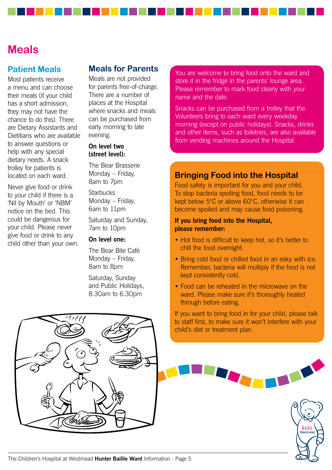## **Meals**

### **Patient Meals**

Most patients receive a menu and can choose their meals (if your child has a short admission, they may not have the chance to do this). There are Dietary Assistants and Dietitians who are available to answer questions or help with any special dietary needs. A snack trolley for patients is located on each ward.

Never give food or drink to your child if there is a 'Nil by Mouth' or 'NBM' notice on the bed. This could be dangerous for your child. Please never give food or drink to any child other than your own.

### **Meals for Parents**

Meals are not provided for parents free-of-charge. There are a number of places at the Hospital where snacks and meals can be purchased from early morning to late evening.

#### **On level two (street level):**

The Bear Brasserie Monday – Friday, 8am to 7pm

**Starbucks** Monday – Friday, 6am to 11pm

Saturday and Sunday, 7am to 10pm

#### **On level one:**

The Bear Bite Café Monday – Friday, 8am to 8pm

Saturday, Sunday and Public Holidays, 8.30am to 6.30pm

You are welcome to bring food onto the ward and store it in the fridge in the parents' lounge area. Please remember to mark food clearly with your name and the date.

Snacks can be purchased from a trolley that the Volunteers bring to each ward every weekday morning (except on public holidays). Snacks, drinks and other items, such as toiletries, are also available from vending machines around the Hospital.

### **Bringing Food into the Hospital**

Food safety is important for you and your child. To stop bacteria spoiling food, food needs to be kept below 5°C or above 60°C, otherwise it can become spoiled and may cause food poisoning.

#### **If you bring food into the Hospital, please remember:**

- Hot food is difficult to keep hot, so it's better to chill the food overnight.
- Bring cold food or chilled food in an esky with ice. Remember, bacteria will multiply if the food is not kept consistently cold.
- Food can be reheated in the microwave on the ward. Please make sure it's thoroughly heated through before eating.

If you want to bring food in for your child, please talk to staff first, to make sure it won't interfere with your child's diet or treatment plan.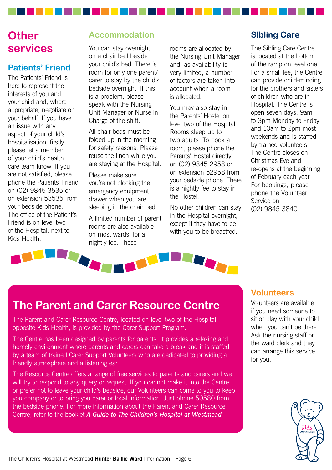## **Other services**

## **Patients' Friend**

The Patients' Friend is here to represent the interests of you and your child and, where appropriate, negotiate on your behalf. If you have an issue with any aspect of your child's hospitalisation, firstly please let a member of your child's health care team know. If you are not satisfied, please phone the Patients' Friend on (02) 9845 3535 or on extension 53535 from your bedside phone. The office of the Patient's Friend is on level two of the Hospital, next to Kids Health.

## **Accommodation**

You can stay overnight on a chair bed beside your child's bed. There is room for only one parent/ carer to stay by the child's bedside overnight. If this is a problem, please speak with the Nursing Unit Manager or Nurse in Charge of the shift.

All chair beds must be folded up in the morning for safety reasons. Please reuse the linen while you are staying at the Hospital.

Please make sure you're not blocking the emergency equipment drawer when you are sleeping in the chair bed.

A limited number of parent rooms are also available on most wards, for a nightly fee. These

rooms are allocated by the Nursing Unit Manager and, as availability is very limited, a number of factors are taken into account when a room is allocated.

You may also stay in the Parents' Hostel on level two of the Hospital. Rooms sleep up to two adults. To book a room, please phone the Parents' Hostel directly on (02) 9845 2958 or on extension 52958 from your bedside phone. There is a nightly fee to stay in the Hostel.

No other children can stay in the Hospital overnight, except if they have to be with you to be breastfed.

## **Sibling Care**

The Sibling Care Centre is located at the bottom of the ramp on level one. For a small fee, the Centre can provide child-minding for the brothers and sisters of children who are in Hospital. The Centre is open seven days, 9am to 3pm Monday to Friday and 10am to 2pm most weekends and is staffed by trained volunteers. The Centre closes on Christmas Eve and re-opens at the beginning of February each year. For bookings, please phone the Volunteer Service on (02) 9845 3840.



## **The Parent and Carer Resource Centre**

The Parent and Carer Resource Centre, located on level two of the Hospital, opposite Kids Health, is provided by the Carer Support Program.

The Centre has been designed by parents for parents. It provides a relaxing and homely environment where parents and carers can take a break and it is staffed by a team of trained Carer Support Volunteers who are dedicated to providing a friendly atmosphere and a listening ear.

The Resource Centre offers a range of free services to parents and carers and we will try to respond to any query or request. If you cannot make it into the Centre or prefer not to leave your child's bedside, our Volunteers can come to you to keep you company or to bring you carer or local information. Just phone 50580 from the bedside phone. For more information about the Parent and Carer Resource Centre, refer to the booklet *A Guide to The Children's Hospital at Westmead*.

### **Volunteers**

Volunteers are available if you need someone to sit or play with your child when you can't be there. Ask the nursing staff or the ward clerk and they can arrange this service for you.

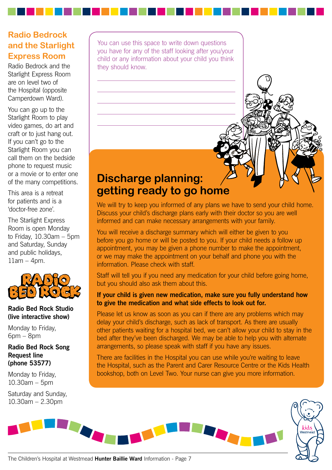## **Radio Bedrock and the Starlight Express Room**

Radio Bedrock and the Starlight Express Room are on level two of the Hospital (opposite Camperdown Ward).

You can go up to the Starlight Room to play video games, do art and craft or to just hang out. If you can't go to the Starlight Room you can call them on the bedside phone to request music or a movie or to enter one of the many competitions.

This area is a retreat for patients and is a 'doctor-free zone'.

The Starlight Express Room is open Monday to Friday, 10.30am – 5pm and Saturday, Sunday and public holidays,  $11$ am – 4pm.



#### **Radio Bed Rock Studio (live interactive show)**

Monday to Friday, 6pm – 8pm

**Radio Bed Rock Song Request line (phone 53577)**

Monday to Friday, 10.30am – 5pm

Saturday and Sunday, 10.30am – 2.30pm

You can use this space to write down questions you have for any of the staff looking after you/your child or any information about your child you think they should know.

## **Discharge planning: getting ready to go home**

We will try to keep you informed of any plans we have to send your child home. Discuss your child's discharge plans early with their doctor so you are well informed and can make necessary arrangements with your family.

You will receive a discharge summary which will either be given to you before you go home or will be posted to you. If your child needs a follow up appointment, you may be given a phone number to make the appointment, or we may make the appointment on your behalf and phone you with the information. Please check with staff.

Staff will tell you if you need any medication for your child before going home, but you should also ask them about this.

#### **If your child is given new medication, make sure you fully understand how to give the medication and what side effects to look out for.**

Please let us know as soon as you can if there are any problems which may delay your child's discharge, such as lack of transport. As there are usually other patients waiting for a hospital bed, we can't allow your child to stay in the bed after they've been discharged. We may be able to help you with alternate arrangements, so please speak with staff if you have any issues.

There are facilities in the Hospital you can use while you're waiting to leave the Hospital, such as the Parent and Carer Resource Centre or the Kids Health bookshop, both on Level Two. Your nurse can give you more information.



The Children's Hospital at Westmead **Hunter Baillie Ward** Information - Page 7